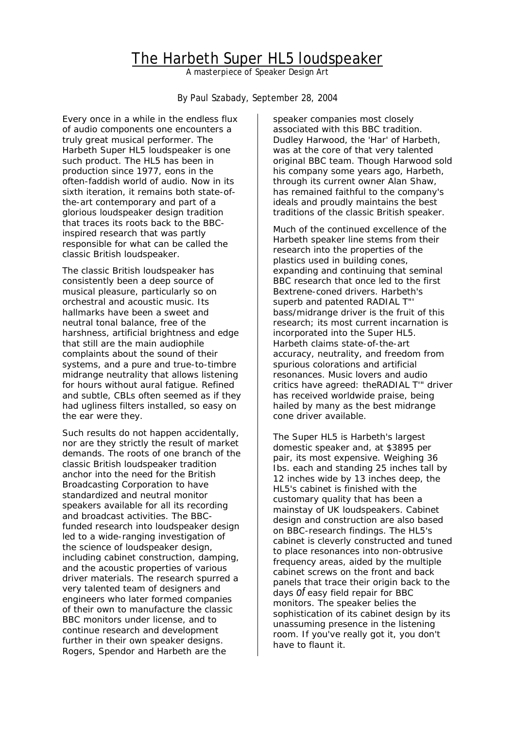# The Harbeth Super HL5 loudspeaker

*A masterpiece of Speaker Design Art* 

By Paul Szabady, September 28, 2004

Every once in a while in the endless flux of audio components one encounters a truly great musical performer. The Harbeth Super HL5 loudspeaker is one such product. The HL5 has been in production since 1977, eons in the often-faddish world of audio. Now in its sixth iteration, it remains both state-ofthe-art contemporary and part of a glorious loudspeaker design tradition that traces its roots back to the BBCinspired research that was partly responsible for what can be called the classic British loudspeaker.

The classic British loudspeaker has consistently been a deep source of musical pleasure, particularly so on orchestral and acoustic music. Its hallmarks have been a sweet and neutral tonal balance, free of the harshness, artificial brightness and edge that still are the main audiophile complaints about the sound of their systems, and a pure and true-to-timbre midrange neutrality that allows listening for hours without aural fatigue. Refined and subtle, CBLs often seemed as if they had ugliness filters installed, so easy on the ear were they.

Such results do not happen accidentally, nor are they strictly the result of market demands. The roots of one branch of the classic British loudspeaker tradition anchor into the need for the British Broadcasting Corporation to have standardized and neutral monitor speakers available for all its recording and broadcast activities. The BBCfunded research into loudspeaker design led to a wide-ranging investigation of the science of loudspeaker design, including cabinet construction, damping, and the acoustic properties of various driver materials. The research spurred a very talented team of designers and engineers who later formed companies of their own to manufacture the classic BBC monitors under license, and to continue research and development further in their own speaker designs. Rogers, Spendor and Harbeth are the

speaker companies most closely associated with this BBC tradition. Dudley Harwood, the 'Har' of Harbeth, was at the core of that very talented original BBC team. Though Harwood sold his company some years ago, Harbeth, through its current owner Alan Shaw, has remained faithful to the company's ideals and proudly maintains the best traditions of the classic British speaker.

Much of the continued excellence of the Harbeth speaker line stems from their research into the properties of the plastics used in building cones, expanding and continuing that seminal BBC research that once led to the first Bextrene-coned drivers. Harbeth's superb and patented RADIAL T" bass/midrange driver is the fruit of this research; its most current incarnation is incorporated into the Super HL5. Harbeth claims state-of-the-art accuracy, neutrality, and freedom from spurious colorations and artificial resonances. Music lovers and audio critics have agreed: theRADIAL T'" driver has received worldwide praise, being hailed by many as the best midrange cone driver available.

The Super HL5 is Harbeth's largest domestic speaker and, at \$3895 per pair, its most expensive. Weighing 36 Ibs. each and standing 25 inches tall by 12 inches wide by 13 inches deep, the HL5's cabinet is finished with the customary quality that has been a mainstay of UK loudspeakers. Cabinet design and construction are also based on BBC-research findings. The HL5's cabinet is cleverly constructed and tuned to place resonances into non-obtrusive frequency areas, aided by the multiple cabinet screws on the front and back panels that trace their origin back to the days *of* easy field repair for BBC monitors. The speaker belies the sophistication of its cabinet design by its unassuming presence in the listening room. If you've really got it, you don't have to flaunt it.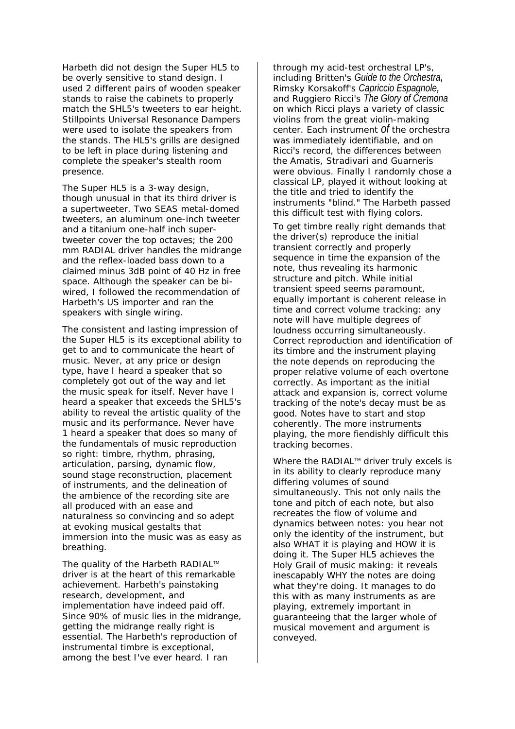Harbeth did not design the Super HL5 to be overly sensitive to stand design. I used 2 different pairs of wooden speaker stands to raise the cabinets to properly match the SHL5's tweeters to ear height. Stillpoints Universal Resonance Dampers were used to isolate the speakers from the stands. The HL5's grills are designed to be left in place during listening and complete the speaker's stealth room presence.

The Super HL5 is a 3-way design, though unusual in that its third driver is a supertweeter. Two SEAS metal-domed tweeters, an aluminum one-inch tweeter and a titanium one-half inch supertweeter cover the top octaves; the 200 mm RADIAL driver handles the midrange and the reflex-loaded bass down to a claimed minus 3dB point *of* 40 Hz in free space. Although the speaker can be biwired, I followed the recommendation of Harbeth's US importer and ran the speakers with single wiring.

The consistent and lasting impression of the Super HL5 is its exceptional ability to get to and to communicate the heart of music. Never, at any price or design type, have I heard a speaker that so completely got out of the way and let the music speak for itself. Never have I heard a speaker that exceeds the SHL5's ability to reveal the artistic quality of the music and its performance. Never have 1 heard a speaker that does so many of the fundamentals of music reproduction so right: timbre, rhythm, phrasing, articulation, parsing, dynamic flow, sound stage reconstruction, placement of instruments, and the delineation of the ambience of the recording site are all produced with an ease and naturalness so convincing and so adept at evoking musical gestalts that immersion into the music was as easy as breathing.

The quality of the Harbeth RADIAL™ driver is at the heart of this remarkable achievement. Harbeth's painstaking research, development, and implementation have indeed paid off. Since 90% of music lies in the midrange, getting the midrange really right is essential. The Harbeth's reproduction of instrumental timbre is exceptional, among the best I've ever heard. I ran

through my acid-test orchestral LP's, including Britten's *Guide to the Orchestra,* Rimsky Korsakoff's *Capriccio Espagnole,* and Ruggiero Ricci's *The Glory of Cremona* on which Ricci plays a variety of classic violins from the great violin-making center. Each instrument *of* the orchestra was immediately identifiable, and on Ricci's record, the differences between the Amatis, Stradivari and Guarneris were obvious. Finally I randomly chose a classical LP, played it without looking at the title and tried to identify the instruments "blind." The Harbeth passed this difficult test with flying colors.

To get timbre really right demands that the driver(s) reproduce the initial transient correctly and properly sequence in time the expansion of the note, thus revealing its harmonic structure and pitch. While initial transient speed seems paramount, equally important is coherent release in time and correct volume tracking: any note will have multiple degrees of loudness occurring simultaneously. Correct reproduction and identification of its timbre and the instrument playing the note depends on reproducing the proper relative volume of each overtone correctly. As important as the initial attack and expansion is, correct volume tracking of the note's decay must be as good. Notes have to start and stop coherently. The more instruments playing, the more fiendishly difficult this tracking becomes.

Where the RADIAL™ driver truly excels is in its ability to clearly reproduce many differing volumes of sound simultaneously. This not only nails the tone and pitch of each note, but also recreates the flow of volume and dynamics between notes: you hear not only the identity of the instrument, but also WHAT it is playing and HOW it is doing it. The Super HL5 achieves the Holy Grail of music making: it reveals inescapably WHY the notes are doing what they're doing. It manages to do this with as many instruments as are playing, extremely important in guaranteeing that the larger whole of musical movement and argument is conveyed.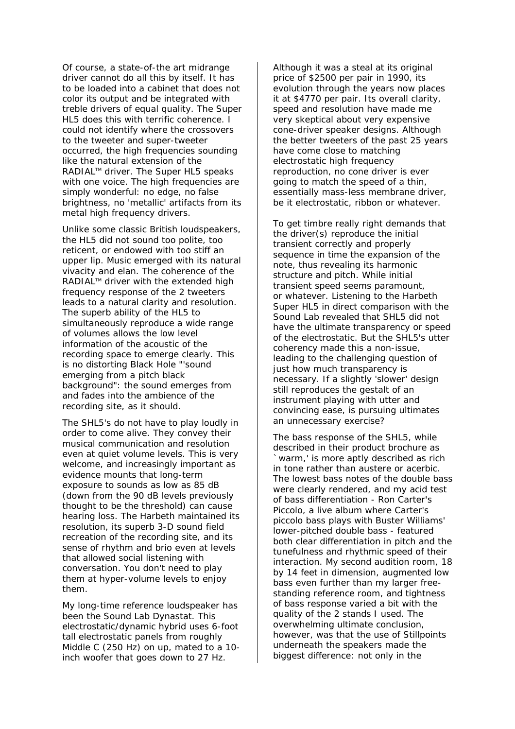Of course, a state-of-the art midrange driver cannot do all this by itself. It has to be loaded into a cabinet that does not color its output and be integrated with treble drivers of equal quality. The Super HL5 does this with terrific coherence. I could not identify where the crossovers to the tweeter and super-tweeter occurred, the high frequencies sounding like the natural extension of the RADIAL™ driver. The Super HL5 speaks with one voice. The high frequencies are simply wonderful: no edge, no false brightness, no 'metallic' artifacts from its metal high frequency drivers.

Unlike some classic British loudspeakers, the HL5 did not sound too polite, too reticent, or endowed with too stiff an upper lip. Music emerged with its natural vivacity and elan. The coherence of the RADIAL™ driver with the extended high frequency response of the 2 tweeters leads to a natural clarity and resolution. The superb ability of the HL5 to simultaneously reproduce a wide range of volumes allows the low level information of the acoustic of the recording space to emerge clearly. This is no distorting Black Hole "'sound emerging from a pitch black background": the sound emerges from and fades into the ambience of the recording site, as it should.

The SHL5's do not have to play loudly in order to come alive. They convey their musical communication and resolution even at quiet volume levels. This is very welcome, and increasingly important as evidence mounts that long-term exposure to sounds as low as 85 dB (down from the 90 dB levels previously thought to be the threshold) can cause hearing loss. The Harbeth maintained its resolution, its superb 3-D sound field recreation of the recording site, and its sense of rhythm and brio even at levels that allowed social listening with conversation. You don't need to play them at hyper-volume levels to enjoy them.

My long-time reference loudspeaker has been the Sound Lab Dynastat. This electrostatic/dynamic hybrid uses 6-foot tall electrostatic panels from roughly Middle C (250 Hz) on up, mated to a 10 inch woofer that goes down to 27 Hz.

Although it was a steal at its original price of \$2500 per pair in 1990, its evolution through the years now places it at \$4770 per pair. Its overall clarity, speed and resolution have made me very skeptical about very expensive cone-driver speaker designs. Although the better tweeters of the past 25 years have come close to matching electrostatic high frequency reproduction, no cone driver is ever going to match the speed of a thin, essentially mass-less membrane driver, be it electrostatic, ribbon or whatever.

To get timbre really right demands that the driver(s) reproduce the initial transient correctly and properly sequence in time the expansion of the note, thus revealing its harmonic structure and pitch. While initial transient speed seems paramount, or whatever. Listening to the Harbeth Super HL5 in direct comparison with the Sound Lab revealed that SHL5 did not have the ultimate transparency or speed of the electrostatic. But the SHL5's utter coherency made this a non-issue, leading to the challenging question of just how much transparency is necessary. If a slightly 'slower' design still reproduces the gestalt of an instrument playing with utter and convincing ease, is pursuing ultimates an unnecessary exercise?

The bass response of the SHL5, while described in their product brochure as `warm,' is more aptly described as rich in tone rather than austere or acerbic. The lowest bass notes of the double bass were clearly rendered, and my acid test of bass differentiation - Ron Carter's Piccolo, a live album where Carter's piccolo bass plays with Buster Williams' lower-pitched double bass - featured both clear differentiation in pitch and the tunefulness and rhythmic speed of their interaction. My second audition room, 18 by 14 feet in dimension, augmented low bass even further than my larger freestanding reference room, and tightness of bass response varied a bit with the quality of the 2 stands I used. The overwhelming ultimate conclusion, however, was that the use of Stillpoints underneath the speakers made the biggest difference: not only in the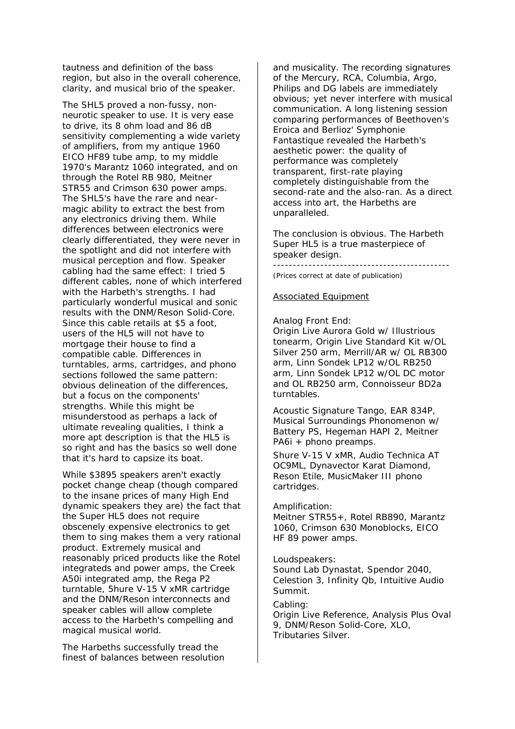tautness and definition of the bass region, but also in the overall coherence, clarity, and musical brio of the speaker.

The SHL5 proved a non-fussy, nonneurotic speaker to use. It is very ease to drive, its 8 ohm load and 86 dB sensitivity complementing a wide variety of amplifiers, from my antique 1960 EICO HF89 tube amp, to my middle 1970's Marantz 1060 integrated, and on through the Rotel RB 980, Meitner STR55 and Crimson 630 power amps. The SHL5's have the rare and nearmagic ability to extract the best from any electronics driving them. While differences between electronics were clearly differentiated, they were never in the spotlight and did not interfere with musical perception and flow. Speaker cabling had the same effect: I tried 5 different cables, none of which interfered with the Harbeth's strengths. I had particularly wonderful musical and sonic results with the DNM/Reson Solid-Core. Since this cable retails at \$5 a foot, users of the HL5 will not have to mortgage their house to find a compatible cable. Differences in turntables, arms, cartridges, and phono sections followed the same pattern: obvious delineation of the differences, but a focus on the components' strengths. While this might be misunderstood as perhaps a lack of ultimate revealing qualities, I think a more apt description is that the HL5 is so right and has the basics so well done that it's hard to capsize its boat.

While \$3895 speakers aren't exactly pocket change cheap (though compared to the insane prices of many High End dynamic speakers they are) the fact that the Super HL5 does not require obscenely expensive electronics to get them to sing makes them a very rational product. Extremely musical and reasonably priced products like the Rotel integrateds and power amps, the Creek A50i integrated amp, the Rega P2 turntable, 5hure V-15 V xMR cartridge and the DNM/Reson interconnects and speaker cables will allow complete access to the Harbeth's compelling and magical musical world.

The Harbeths successfully tread the finest of balances between resolution and musicality. The recording signatures of the Mercury, RCA, Columbia, Argo, Philips and DG labels are immediately obvious; yet never interfere with musical communication. A long listening session comparing performances of Beethoven's Eroica and Berlioz' *Symphonie Fantastique* revealed the Harbeth's aesthetic power: the quality of performance was completely transparent, first-rate playing completely distinguishable from the second-rate and the also-ran. As a direct access into art, the Harbeths are unparalleled.

The conclusion is obvious. The Harbeth Super HL5 is a true masterpiece of speaker design.

---------------------------------------------

(Prices correct at date of publication)

### Associated Equipment

#### *Analog Front End:*

Origin Live Aurora Gold w/ Illustrious tonearm, Origin Live Standard Kit w/OL Silver 250 arm, Merrill/AR w/ OL RB300 arm, Linn Sondek LP12 w/OL RB250 arm, Linn Sondek LP12 w/OL DC motor and OL RB250 arm, Connoisseur BD2a turntables.

Acoustic Signature Tango, EAR 834P, Musical Surroundings Phonomenon w/ Battery PS, Hegeman HAPI 2, Meitner PA6i + phono preamps.

Shure V-15 V xMR, Audio Technica AT OC9ML, Dynavector Karat Diamond, Reson Etile, MusicMaker III phono cartridges.

## *Amplification:*

Meitner STR55+, Rotel RB890, Marantz 1060, Crimson 630 Monoblocks, EICO HF 89 power amps.

#### *Loudspeakers:*

Sound Lab Dynastat, Spendor 2040, Celestion 3, Infinity Qb, Intuitive Audio Summit.

*Cabling:* 

Origin Live Reference, Analysis Plus Oval 9, DNM/Reson Solid-Core, XLO, Tributaries Silver.